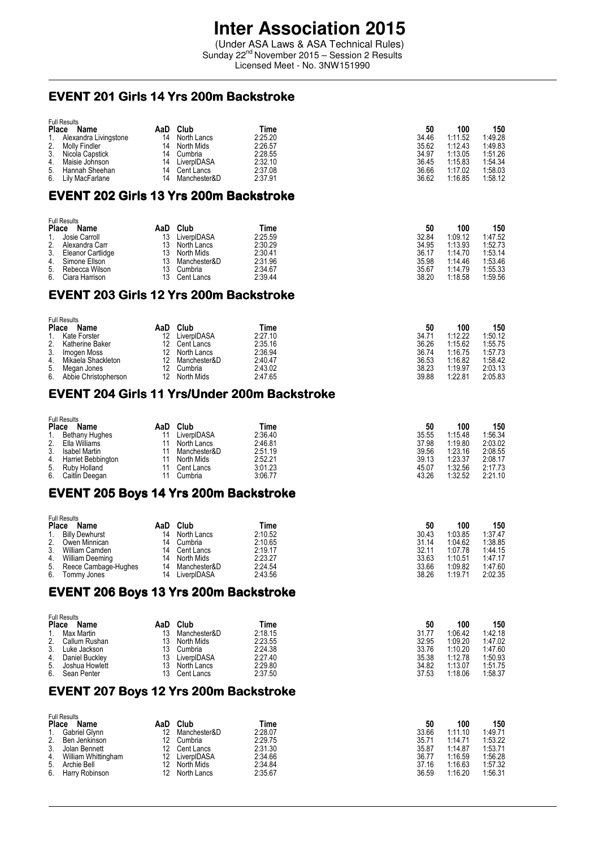# **Inter Association 2015**

(Under ASA Laws & ASA Technical Rules) Sunday 22<sup>nd</sup> November 2015 – Session 2 Results Licensed Meet - No. 3NW151990

#### EVENT 201 Girls 14 Yrs 200m Backstroke

| Place | <b>Full Results</b><br>Name | AaD | Club         | Time    | 50    | 100     | 150     |
|-------|-----------------------------|-----|--------------|---------|-------|---------|---------|
|       | Alexandra Livingstone       | 14  | North Lancs  | 2:25.20 | 34.46 | 1:11.52 | 1:49.28 |
| 2.    | Molly Findler               | 14  | North Mids   | 2:26.57 | 35.62 | 1:12.43 | 1:49.83 |
| 3.    | Nicola Capstick             | 14  | Cumbria      | 2:28.55 | 34.97 | 1:13.05 | 1:51.26 |
| 4.    | Maisie Johnson              | 14  | LiverpIDASA  | 2:32.10 | 36.45 | 1:15.83 | 1:54.34 |
| 5.    | Hannah Sheehan              | 14  | Cent Lancs   | 2:37.08 | 36.66 | 1:17.02 | 1:58.03 |
| 6.    | Lily MacFarlane             | 14  | Manchester&D | 2:37.91 | 36.62 | 1:16.85 | 1:58.12 |

#### EVENT 202 Girls 13 Yrs 200m Backstroke

|              | <b>Full Results</b> |     |              |         |       |         |         |  |  |  |
|--------------|---------------------|-----|--------------|---------|-------|---------|---------|--|--|--|
| <b>Place</b> | Name                | AaD | Club         | Time    | 50    | 100     | 150     |  |  |  |
|              | 1. Josie Carroll    | 13  | LiverpIDASA  | 2:25.59 | 32.84 | 1:09.12 | 1:47.52 |  |  |  |
| 2.           | Alexandra Carr      | 13  | North Lancs  | 2:30.29 | 34.95 | 1:13.93 | 1:52.73 |  |  |  |
| 3.           | Eleanor Cartlidge   | 13. | North Mids   | 2:30.41 | 36.17 | 1:14.70 | 1:53.14 |  |  |  |
|              | 4. Simone Ellson    | 13  | Manchester&D | 2:31.96 | 35.98 | 1:14.46 | 1:53.46 |  |  |  |
| 5.           | Rebecca Wilson      | 13  | Cumbria      | 2:34.67 | 35.67 | 1.14.79 | 1:55.33 |  |  |  |
|              | 6. Ciara Harrison   | 13  | Cent Lancs   | 2:39.44 | 38.20 | 1:18.58 | 1:59.56 |  |  |  |

#### EVENT 203 Girls 12 Yrs 200m Backstroke

|              | <b>Full Results</b>  |     |              |         |       |         |         |  |  |  |
|--------------|----------------------|-----|--------------|---------|-------|---------|---------|--|--|--|
| <b>Place</b> | Name                 | AaD | Club         | Time    | 50    | 100     | 150     |  |  |  |
| 1.           | Kate Forster         | 12  | LiverpIDASA  | 2:27.10 | 34.71 | 1:12.22 | 1:50.12 |  |  |  |
| 2.           | Katherine Baker      | 12  | Cent Lancs   | 2:35.16 | 36.26 | 1:15.62 | 1:55.75 |  |  |  |
| 3.           | Imogen Moss          | 12. | North Lancs  | 2:36.94 | 36.74 | 1:16.75 | 1:57.73 |  |  |  |
| 4.           | Mikaela Shackleton   |     | Manchester&D | 2:40.47 | 36.53 | 1:16.82 | 1:58.42 |  |  |  |
|              | 5. Megan Jones       |     | Cumbria      | 2:43.02 | 38.23 | 1:19.97 | 2:03.13 |  |  |  |
| 6.           | Abbie Christopherson |     | North Mids   | 2:47.65 | 39.88 | 1:22.81 | 2:05.83 |  |  |  |

## EVENT 204 Girls 11 Yrs/Under 200m Backstroke

|       | <b>Full Results</b>  |     |              |         |       |         |         |  |  |  |
|-------|----------------------|-----|--------------|---------|-------|---------|---------|--|--|--|
| Place | Name                 | AaD | Club         | Time    | 50    | 100     | 150     |  |  |  |
|       | Bethany Hughes       |     | LiverpIDASA  | 2:36.40 | 35.55 | 1:15.48 | 1:56.34 |  |  |  |
| 2.    | Ella Williams        |     | North Lancs  | 2:46.81 | 37.98 | 1:19.80 | 2:03.02 |  |  |  |
| 3.    | <b>Isabel Martin</b> |     | Manchester&D | 2:51.19 | 39.56 | 1.23.16 | 2:08.55 |  |  |  |
| 4.    | Harriet Bebbington   |     | North Mids   | 2:52.21 | 39.13 | 1:23.37 | 2:08.17 |  |  |  |
| 5.    | Ruby Holland         |     | Cent Lancs   | 3:01.23 | 45.07 | 1:32.56 | 2:17.73 |  |  |  |
| 6.    | Caitlin Deegan       |     | Cumbria      | 3:06.77 | 43.26 | 1:32.52 | 2:21.10 |  |  |  |

#### EVENT 205 Boys 14 Yrs 200m Backstroke

|              | <b>Full Results</b>   |     |              |         |       |         |         |  |  |  |
|--------------|-----------------------|-----|--------------|---------|-------|---------|---------|--|--|--|
| <b>Place</b> | Name                  | AaD | Club         | Time    | 50    | 100     | 150     |  |  |  |
| 1.           | <b>Billy Dewhurst</b> | 14  | North Lancs  | 2:10.52 | 30.43 | 1:03.85 | 1:37.47 |  |  |  |
| 2.           | Owen Minnican         | 14  | Cumbria      | 2:10.65 | 31.14 | 1:04.62 | 1:38.85 |  |  |  |
| 3.           | William Camden        | 14  | Cent Lancs   | 2:19.17 | 32.11 | 1:07.78 | 1:44.15 |  |  |  |
| 4.           | William Deeming       | 14  | North Mids   | 2:23.27 | 33.63 | 1:10.51 | 1:47.17 |  |  |  |
| 5.           | Reece Cambage-Hughes  | 14  | Manchester&D | 2:24.54 | 33.66 | 1:09.82 | 1:47.60 |  |  |  |
| 6.           | Tommy Jones           | 14  | LiverpIDASA  | 2:43.56 | 38.26 | 1:19.71 | 2:02.35 |  |  |  |

## EVENT 206 Boys 13 Yrs 200m Backstroke

|    | <b>Full Results</b>         |     |              |         |       |         |         |  |  |  |
|----|-----------------------------|-----|--------------|---------|-------|---------|---------|--|--|--|
|    | <b>Place</b><br><b>Name</b> | AaD | Club         | Time    | 50    | 100     | 150     |  |  |  |
|    | Max Martin                  | 13  | Manchester&D | 2:18.15 | 31.77 | 1.06.42 | 1:42.18 |  |  |  |
| 2. | Callum Rushan               | 13  | North Mids   | 2:23.55 | 32.95 | 1:09.20 | 1:47.02 |  |  |  |
| 3. | Luke Jackson                | 13. | Cumbria      | 2:24.38 | 33.76 | 1:10.20 | 1:47.60 |  |  |  |
| 4. | Daniel Buckley              | 13  | LiverpIDASA  | 2:27.40 | 35.38 | 1:12.78 | 1:50.93 |  |  |  |
| 5. | Joshua Howlett              | 13. | North Lancs  | 2:29.80 | 34.82 | 1:13.07 | 1:51.75 |  |  |  |
| 6. | Sean Penter                 | 13  | Cent Lancs   | 2:37.50 | 37.53 | 1:18.06 | 1:58.37 |  |  |  |

### EVENT 207 Boys 12 Yrs 200m Backstroke

|              | <b>Full Results</b> |                 |              |         |       |         |         |  |  |  |
|--------------|---------------------|-----------------|--------------|---------|-------|---------|---------|--|--|--|
| <b>Place</b> | Name                | AaD             | Club         | Time    | 50    | 100     | 150     |  |  |  |
|              | Gabriel Glynn       |                 | Manchester&D | 2:28.07 | 33.66 | 1:11.10 | 1:49.71 |  |  |  |
| 2.           | Ben Jenkinson       | 12              | Cumbria      | 2:29.75 | 35.71 | 1.14.71 | 1:53.22 |  |  |  |
| 3.           | Jolan Bennett       | 12.             | Cent Lancs   | 2:31.30 | 35.87 | 1.14.87 | 1:53.71 |  |  |  |
| 4.           | William Whittingham | 12              | LiverpIDASA  | 2:34.66 | 36.77 | 1:16.59 | 1:56.28 |  |  |  |
|              | 5. Archie Bell      |                 | North Mids   | 2:34.84 | 37.16 | 1:16.63 | 1:57.32 |  |  |  |
| 6.           | Harry Robinson      | 12 <sup>1</sup> | North Lancs  | 2:35.67 | 36.59 | 1:16.20 | 1:56.31 |  |  |  |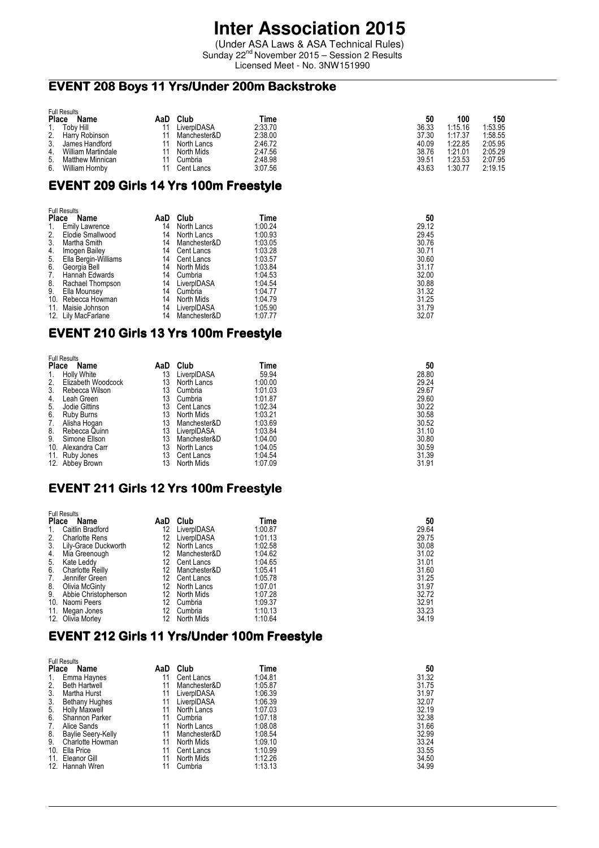## **Inter Association 2015**

(Under ASA Laws & ASA Technical Rules) Sunday 22<sup>nd</sup> November 2015 - Session 2 Results Licensed Meet - No. 3NW151990

## EVENT 208 Boys 11 Yrs/Under 200m Backstroke

|              | <b>Full Results</b>                    |     |              |         |       |         |         |  |  |  |
|--------------|----------------------------------------|-----|--------------|---------|-------|---------|---------|--|--|--|
| <b>Place</b> | Name                                   | AaD | Club         | Time    | 50    | 100     | 150     |  |  |  |
|              | 1. Toby Hill                           |     | LiverpIDASA  | 2:33.70 | 36.33 | 1:15.16 | 1:53.95 |  |  |  |
|              | 2. Harry Robinson<br>3. James Handford |     | Manchester&D | 2:38.00 | 37.30 | 1:17.37 | 1:58.55 |  |  |  |
|              | James Handford                         |     | North Lancs  | 2:46.72 | 40.09 | 1:22.85 | 2:05.95 |  |  |  |
| 4.           | <b>William Martindale</b>              |     | North Mids   | 2:47.56 | 38.76 | 1:21.01 | 2:05.29 |  |  |  |
| 5.           | <b>Matthew Minnican</b>                |     | Cumbria      | 2:48.98 | 39.51 | 1:23.53 | 2:07.95 |  |  |  |
| 6.           | William Hornby                         |     | Cent Lancs   | 3:07.56 | 43.63 | 1:30.77 | 2:19.15 |  |  |  |

## EVENT 209 Girls 14 Yrs 100m Freestyle

| <b>Full Results</b>  |                                                                             |              |             |       |  |
|----------------------|-----------------------------------------------------------------------------|--------------|-------------|-------|--|
| Name                 |                                                                             |              | Time        | 50    |  |
| Emily Lawrence       | 14                                                                          | North Lancs  | 1:00.24     | 29.12 |  |
| Elodie Smallwood     | 14                                                                          | North Lancs  | 1:00.93     | 29.45 |  |
| Martha Smith         | 14                                                                          | Manchester&D | 1:03.05     | 30.76 |  |
| Imogen Bailey        | 14                                                                          | Cent Lancs   | 1:03.28     | 30.71 |  |
| Ella Bergin-Williams | 14                                                                          | Cent Lancs   | 1:03.57     | 30.60 |  |
| Georgia Bell         | 14                                                                          | North Mids   | 1:03.84     | 31.17 |  |
| Hannah Edwards       | 14                                                                          | Cumbria      | 1:04.53     | 32.00 |  |
| Rachael Thompson     | 14                                                                          | LiverpIDASA  | 1:04.54     | 30.88 |  |
| Ella Mounsey         | 14                                                                          | Cumbria      | 1:04.77     | 31.32 |  |
|                      | 14                                                                          | North Mids   | 1:04.79     | 31.25 |  |
|                      | 14                                                                          | LiverpIDASA  | 1:05.90     | 31.79 |  |
|                      | 14                                                                          | Manchester&D | 1:07.77     | 32.07 |  |
| 10.                  | <b>Place</b><br>Rebecca Howman<br>11. Maisie Johnson<br>12. Lily MacFarlane |              | Club<br>AaD |       |  |

## EVENT 210 Girls 13 Yrs 100m Freestyle

| <b>Full Results</b> |                    |      |              |         |       |
|---------------------|--------------------|------|--------------|---------|-------|
| <b>Place</b>        | <b>Name</b>        | AaD. | Club         | Time    | 50    |
| 1.                  | <b>Holly White</b> | 13   | LiverpIDASA  | 59.94   | 28.80 |
| 2.                  | Elizabeth Woodcock | 13   | North Lancs  | 1:00.00 | 29.24 |
| 3.                  | Rebecca Wilson     | 13   | Cumbria      | 1:01.03 | 29.67 |
| 4.                  | Leah Green         | 13   | Cumbria      | 1:01.87 | 29.60 |
| 5.                  | Jodie Gittins      | 13   | Cent Lancs   | 1:02.34 | 30.22 |
| 6.                  | <b>Ruby Burns</b>  | 13   | North Mids   | 1:03.21 | 30.58 |
| 7.                  | Alisha Hogan       | 13   | Manchester&D | 1:03.69 | 30.52 |
| 8.                  | Rebecca Quinn      | 13   | LiverpIDASA  | 1:03.84 | 31.10 |
| 9.                  | Simone Ellson      | 13   | Manchester&D | 1:04.00 | 30.80 |
| 10.                 | Alexandra Carr     | 13   | North Lancs  | 1:04.05 | 30.59 |
|                     | 11. Ruby Jones     | 13   | Cent Lancs   | 1:04.54 | 31.39 |
|                     | 12. Abbey Brown    | 13   | North Mids   | 1:07.09 | 31.91 |

## EVENT 211 Girls 12 Yrs 100m Freestyle

|                | <b>Full Results</b>     |     |              |         |       |  |  |
|----------------|-------------------------|-----|--------------|---------|-------|--|--|
| <b>Place</b>   | Name                    | AaD | Club         | Time    | 50    |  |  |
| 1.             | Caitlin Bradford        | 12  | LiverpIDASA  | 1:00.87 | 29.64 |  |  |
| 2.             | <b>Charlotte Rens</b>   | 12  | LiverpIDASA  | 1:01.13 | 29.75 |  |  |
| 3 <sub>1</sub> | Lily-Grace Duckworth    | 12  | North Lancs  | 1:02.58 | 30.08 |  |  |
| 4.             | Mia Greenough           | 12  | Manchester&D | 1:04.62 | 31.02 |  |  |
| 5.             | Kate Leddy              | 12. | Cent Lancs   | 1:04.65 | 31.01 |  |  |
| 6.             | <b>Charlotte Reilly</b> | 12  | Manchester&D | 1:05.41 | 31.60 |  |  |
| 7.             | Jennifer Green          | 12  | Cent Lancs   | 1:05.78 | 31.25 |  |  |
| 8.             | Olivia McGinty          | 12. | North Lancs  | 1:07.01 | 31.97 |  |  |
| 9.             | Abbie Christopherson    | 12  | North Mids   | 1:07.28 | 32.72 |  |  |
|                | 10. Naomi Peers         | 12. | Cumbria      | 1:09.37 | 32.91 |  |  |
|                | 11. Megan Jones         | 12. | Cumbria      | 1:10.13 | 33.23 |  |  |
|                | 12. Olivia Morley       | 12  | North Mids   | 1:10.64 | 34.19 |  |  |

## EVENT 212 Girls 11 Yrs/Under 100m Freestyle

| <b>Full Results</b> |                           |     |              |         |       |
|---------------------|---------------------------|-----|--------------|---------|-------|
| <b>Place</b>        | Name                      | AaD | Club         | Time    | 50    |
| 1.                  | Emma Haynes               | 11  | Cent Lancs   | 1:04.81 | 31.32 |
| 2.                  | <b>Beth Hartwell</b>      | 11  | Manchester&D | 1:05.87 | 31.75 |
| 3.                  | Martha Hurst              | 11  | LiverpIDASA  | 1:06.39 | 31.97 |
| 3.                  | <b>Bethany Hughes</b>     | 11  | LiverpIDASA  | 1:06.39 | 32.07 |
| 5.                  | Holly Maxwell             | 11  | North Lancs  | 1:07.03 | 32.19 |
| 6.                  | Shannon Parker            | 11  | Cumbria      | 1:07.18 | 32.38 |
| 7.                  | Alice Sands               | 11  | North Lancs  | 1:08.08 | 31.66 |
| 8.                  | <b>Baylie Seery-Kelly</b> | 11  | Manchester&D | 1:08.54 | 32.99 |
| 9.                  | Charlotte Howman          | 11  | North Mids   | 1:09.10 | 33.24 |
|                     | 10. Ella Price            | 11  | Cent Lancs   | 1:10.99 | 33.55 |
|                     | 11. Eleanor Gill          | 11  | North Mids   | 1:12.26 | 34.50 |
|                     | 12. Hannah Wren           | 11  | Cumbria      | 1:13.13 | 34.99 |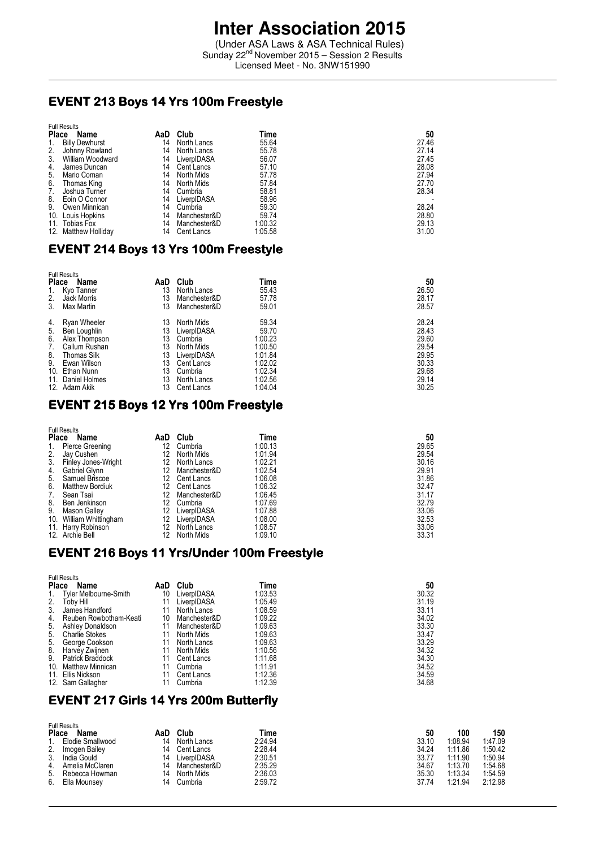(Under ASA Laws & ASA Technical Rules) Sunday 22<sup>nd</sup> November 2015 - Session 2 Results Licensed Meet - No. 3NW151990

## EVENT 213 Boys 14 Yrs 100m Freestyle

| <b>Full Results</b> |                       |     |              |         |       |
|---------------------|-----------------------|-----|--------------|---------|-------|
| <b>Place</b>        | Name                  | AaD | Club         | Time    | 50    |
| 1.                  | <b>Billy Dewhurst</b> | 14  | North Lancs  | 55.64   | 27.46 |
| 2.                  | Johnny Rowland        | 14  | North Lancs  | 55.78   | 27.14 |
| 3.                  | William Woodward      | 14  | LiverpIDASA  | 56.07   | 27.45 |
| 4.                  | James Duncan          | 14  | Cent Lancs   | 57.10   | 28.08 |
| 5.                  | Mario Coman           | 14  | North Mids   | 57.78   | 27.94 |
| 6.                  | Thomas King           | 14  | North Mids   | 57.84   | 27.70 |
| 7.                  | Joshua Turner         | 14  | Cumbria      | 58.81   | 28.34 |
| 8.                  | Eoin O Connor         | 14  | LiverpIDASA  | 58.96   |       |
| 9.                  | Owen Minnican         | 14  | Cumbria      | 59.30   | 28.24 |
| 10.                 | Louis Hopkins         | 14  | Manchester&D | 59.74   | 28.80 |
|                     | 11. Tobias Fox        | 14  | Manchester&D | 1:00.32 | 29.13 |
|                     | 12. Matthew Holliday  | 14  | Cent Lancs   | 1:05.58 | 31.00 |

#### EVENT 214 Boys 13 Yrs 100m Freestyle

|              | <b>Full Results</b> |     |              |         |       |
|--------------|---------------------|-----|--------------|---------|-------|
| <b>Place</b> | Name                | AaD | Club         | Time    | 50    |
| 1.           | Kyo Tanner          | 13  | North Lancs  | 55.43   | 26.50 |
| 2.           | Jack Morris         | 13  | Manchester&D | 57.78   | 28.17 |
| 3.           | Max Martin          | 13  | Manchester&D | 59.01   | 28.57 |
| 4.           | Ryan Wheeler        | 13  | North Mids   | 59.34   | 28.24 |
| 5.           | Ben Loughlin        | 13  | LiverpIDASA  | 59.70   | 28.43 |
| 6.           | Alex Thompson       | 13  | Cumbria      | 1:00.23 | 29.60 |
| 7.           | Callum Rushan       | 13  | North Mids   | 1:00.50 | 29.54 |
| 8.           | <b>Thomas Silk</b>  | 13  | LiverpIDASA  | 1:01.84 | 29.95 |
| 9.           | Ewan Wilson         | 13  | Cent Lancs   | 1:02.02 | 30.33 |
|              | 10. Ethan Nunn      | 13  | Cumbria      | 1:02.34 | 29.68 |
|              | 11. Daniel Holmes   | 13  | North Lancs  | 1:02.56 | 29.14 |
|              | 12. Adam Akik       | 13  | Cent Lancs   | 1:04.04 | 30.25 |

#### EVENT 215 Boys 12 Yrs 100m Freestyle

| <b>Full Results</b> |                         |     |              |         |       |  |
|---------------------|-------------------------|-----|--------------|---------|-------|--|
| <b>Place</b>        | Name                    | AaD | Club         | Time    | 50    |  |
| 1.                  | Pierce Greening         | 12  | Cumbria      | 1:00.13 | 29.65 |  |
| 2.                  | Jay Cushen              | 12  | North Mids   | 1:01.94 | 29.54 |  |
| 3.                  | Finley Jones-Wright     | 12  | North Lancs  | 1:02.21 | 30.16 |  |
| 4.                  | Gabriel Glynn           | 12  | Manchester&D | 1:02.54 | 29.91 |  |
| 5.                  | Samuel Briscoe          | 12  | Cent Lancs   | 1:06.08 | 31.86 |  |
| 6.                  | <b>Matthew Bordiuk</b>  | 12  | Cent Lancs   | 1:06.32 | 32.47 |  |
| 7.                  | Sean Tsai               | 12  | Manchester&D | 1:06.45 | 31.17 |  |
| 8.                  | Ben Jenkinson           | 12  | Cumbria      | 1:07.69 | 32.79 |  |
| 9.                  | <b>Mason Galley</b>     | 12  | LiverpIDASA  | 1:07.88 | 33.06 |  |
|                     | 10. William Whittingham | 12  | LiverpIDASA  | 1:08.00 | 32.53 |  |
|                     | 11. Harry Robinson      | 12  | North Lancs  | 1:08.57 | 33.06 |  |
|                     | 12. Archie Bell         | 12  | North Mids   | 1:09.10 | 33.31 |  |

## EVENT 216 Boys 11 Yrs/Under 100m Freestyle

|              | <b>Full Results</b>    |     |              |         |       |  |  |  |  |
|--------------|------------------------|-----|--------------|---------|-------|--|--|--|--|
| <b>Place</b> | Name                   | AaD | Club         | Time    | 50    |  |  |  |  |
| 1.           | Tyler Melbourne-Smith  | 10  | LiverpIDASA  | 1:03.53 | 30.32 |  |  |  |  |
| 2.           | Toby Hill              | 11  | LiverpIDASA  | 1:05.49 | 31.19 |  |  |  |  |
| 3.           | James Handford         | 11  | North Lancs  | 1:08.59 | 33.11 |  |  |  |  |
| 4.           | Reuben Rowbotham-Keati | 10  | Manchester&D | 1:09.22 | 34.02 |  |  |  |  |
| 5.           | Ashley Donaldson       | 11  | Manchester&D | 1:09.63 | 33.30 |  |  |  |  |
| 5.           | <b>Charlie Stokes</b>  | 11  | North Mids   | 1:09.63 | 33.47 |  |  |  |  |
| 5.           | George Cookson         | 11  | North Lancs  | 1:09.63 | 33.29 |  |  |  |  |
| 8.           | Harvey Zwijnen         | 11  | North Mids   | 1:10.56 | 34.32 |  |  |  |  |
| 9.           | Patrick Braddock       | 11  | Cent Lancs   | 1:11.68 | 34.30 |  |  |  |  |
|              | 10. Matthew Minnican   | 11  | Cumbria      | 1:11.91 | 34.52 |  |  |  |  |
|              | 11. Ellis Nickson      | 11  | Cent Lancs   | 1:12.36 | 34.59 |  |  |  |  |
|              | 12. Sam Gallagher      | 11  | Cumbria      | 1:12.39 | 34.68 |  |  |  |  |

#### EVENT 217 Girls 14 Yrs 200m Butterfly

|       | <b>Full Results</b> |     |              |         |       |         |         |
|-------|---------------------|-----|--------------|---------|-------|---------|---------|
| Place | Name                | AaD | Club         | Time    | 50    | 100     | 150     |
|       | Elodie Smallwood    | 14  | North Lancs  | 2:24.94 | 33.10 | 1:08.94 | 1:47.09 |
| 2.    | Imogen Bailey       | 14  | Cent Lancs   | 2:28.44 | 34.24 | 1:11.86 | 1:50.42 |
| 3.    | India Gould         | 14  | LiverpIDASA  | 2:30.51 | 33.77 | 1.11.90 | 1:50.94 |
| 4.    | Amelia McClaren     | 14  | Manchester&D | 2:35.29 | 34.67 | 1:13.70 | 1:54.68 |
| 5.    | Rebecca Howman      | 14  | North Mids   | 2:36.03 | 35.30 | 1:13.34 | 1:54.59 |
| 6.    | Ella Mounsey        | 14  | Cumbria      | 2:59.72 | 37.74 | 1:21.94 | 2:12.98 |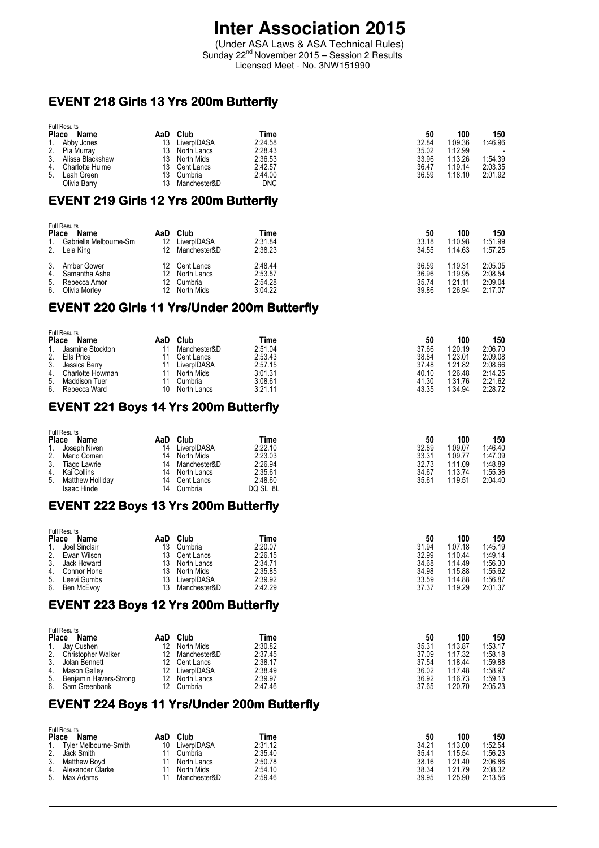(Under ASA Laws & ASA Technical Rules) Sunday 22<sup>nd</sup> November 2015 – Session 2 Results Licensed Meet - No. 3NW151990

## EVENT 218 Girls 13 Yrs 200m Butterfly

|                | <b>Full Results</b> |     |              |         |       |         |                          |
|----------------|---------------------|-----|--------------|---------|-------|---------|--------------------------|
| <b>Place</b>   | Name                | AaD | Club         | Time    | 50    | 100     | 150                      |
|                | 1. Abby Jones       | 13  | LiverpIDASA  | 2:24.58 | 32.84 | 1.09.36 | 1:46.96                  |
|                | 2. Pia Murray       | 13  | North Lancs  | 2:28.43 | 35.02 | 1:12.99 | $\overline{\phantom{a}}$ |
| 3 <sub>1</sub> | Alissa Blackshaw    | 13  | North Mids   | 2:36.53 | 33.96 | 1:13.26 | 1:54.39                  |
| 4.             | Charlotte Hulme     |     | Cent Lancs   | 2:42.57 | 36.47 | 1:19.14 | 2:03.35                  |
| 5.             | Leah Green          | 13  | Cumbria      | 2:44.00 | 36.59 | 1:18.10 | 2:01.92                  |
|                | Olivia Barrv        |     | Manchester&D | DNC     |       |         |                          |

## EVENT 219 Girls 12 Yrs 200m Butterfly

| <b>Place</b><br>1.   | <b>Full Results</b><br>Name<br>Gabrielle Melbourne-Sm<br>2. Leia King | AaD<br>12<br>12 | Club<br>LiverpIDASA<br>Manchester&D                      | Time<br>2:31.84<br>2:38.23               | 50<br>33.18<br>34.55             | 100<br>1:10.98<br>1:14.63                | 150<br>1:51.99<br>1:57.25                |
|----------------------|-----------------------------------------------------------------------|-----------------|----------------------------------------------------------|------------------------------------------|----------------------------------|------------------------------------------|------------------------------------------|
| 3.<br>4.<br>5.<br>6. | Amber Gower<br>Samantha Ashe<br>Rebecca Amor<br>Olivia Morley         | 12.<br>12       | 12 Cent Lancs<br>North Lancs<br>12 Cumbria<br>North Mids | 2:48.44<br>2:53.57<br>2:54.28<br>3:04.22 | 36.59<br>36.96<br>35.74<br>39.86 | 1:19.31<br>1:19.95<br>1.21.11<br>1.26.94 | 2:05.05<br>2:08.54<br>2:09.04<br>2:17.07 |

## EVENT220 Girls 11 Yrs/Under 200m Butterfly 220

| <b>Full Results</b> |                                                          |              |         |       |         |         |
|---------------------|----------------------------------------------------------|--------------|---------|-------|---------|---------|
| Name                | AaD                                                      | Club         | Time    | 50    | 100     | 150     |
| Jasmine Stockton    |                                                          | Manchester&D | 2:51.04 | 37.66 | 1.20.19 | 2:06.70 |
| Ella Price          |                                                          | Cent Lancs   | 2:53.43 | 38.84 | 1:23.01 | 2:09.08 |
| Jessica Berry       |                                                          | LiverpIDASA  | 2:57.15 | 37.48 | 1:21.82 | 2:08.66 |
|                     |                                                          | North Mids   | 3:01.31 | 40.10 | 1.26.48 | 2:14.25 |
| Maddison Tuer       |                                                          | Cumbria      | 3:08.61 | 41.30 | 1:31.76 | 2:21.62 |
| Rebecca Ward        | 10                                                       | North Lancs  | 3:21.11 | 43.35 | 1:34.94 | 2:28.72 |
|                     | <b>Place</b><br>2.<br>Charlotte Howman<br>4.<br>5.<br>6. |              |         |       |         |         |

## EVENT 221 Boys 14 Yrs 200m Butterfly

|    | <b>Full Results</b> |     |              |          |       |         |         |
|----|---------------------|-----|--------------|----------|-------|---------|---------|
|    | Place<br>Name       | AaD | Club         | Time     | 50    | 100     | 150     |
|    | Joseph Niven        | 14  | LiverpIDASA  | 2:22.10  | 32.89 | 1:09.07 | 1:46.40 |
| 2. | Mario Coman         | 14  | North Mids   | 2:23.03  | 33.31 | 1:09.77 | 1:47.09 |
| 3. | Tiago Lawrie        | 14  | Manchester&D | 2:26.94  | 32.73 | 1:11.09 | 1:48.89 |
| 4. | Kai Collins         | 14  | North Lancs  | 2:35.61  | 34.67 | 1:13.74 | 1:55.36 |
| 5. | Matthew Holliday    | 14  | Cent Lancs   | 2:48.60  | 35.61 | 1:19.51 | 2:04.40 |
|    | Isaac Hinde         | 14  | Cumbria      | DQ SL 8L |       |         |         |

## EVENT 222 Boys 13 Yrs 200m Butterfly

| <b>Full Results</b>         |     |              |         |       |         |         |
|-----------------------------|-----|--------------|---------|-------|---------|---------|
| <b>Place</b><br><b>Name</b> | AaD | Club         | Time    | 50    | 100     | 150     |
| Joel Sinclair               | 13  | Cumbria      | 2:20.07 | 31.94 | 1:07.18 | 1:45.19 |
| Ewan Wilson                 | 13  | Cent Lancs   | 2:26.15 | 32.99 | 1:10.44 | 1:49.14 |
| Jack Howard                 | 13  | North Lancs  | 2:34.71 | 34.68 | 1:14.49 | 1:56.30 |
| Connor Hone                 | 13  | North Mids   | 2:35.85 | 34.98 | 1:15.88 | 1:55.62 |
| Leevi Gumbs                 |     | LiverpIDASA  | 2:39.92 | 33.59 | 1:14.88 | 1:56.87 |
| 6.<br>Ben McEvoy            |     | Manchester&D | 2:42.29 | 37.37 | 1:19.29 | 2:01.37 |
|                             |     |              |         |       |         |         |

## EVENT 223 Boys 12 Yrs 200m Butterfly

|              | <b>Full Results</b>       |     |               |         |       |         |         |  |
|--------------|---------------------------|-----|---------------|---------|-------|---------|---------|--|
| <b>Place</b> | Name                      | AaD | Club          | Time    | 50    | 100     | 150     |  |
|              | 1. Jay Cushen             | 12  | North Mids    | 2:30.82 | 35.31 | 1:13.87 | 1:53.17 |  |
| 2.           | <b>Christopher Walker</b> | 12  | Manchester&D  | 2:37.45 | 37.09 | 1:17.32 | 1:58.18 |  |
| 3.           | Jolan Bennett             |     | 12 Cent Lancs | 2:38.17 | 37.54 | 1:18.44 | 1:59.88 |  |
| 4.           | Mason Galley              | 12  | LiverpIDASA   | 2:38.49 | 36.02 | 1:17.48 | 1:58.97 |  |
|              | 5. Benjamin Havers-Strong | 12. | North Lancs   | 2:39.97 | 36.92 | 1:16.73 | 1:59.13 |  |
|              | 6. Sam Greenbank          |     | 12 Cumbria    | 2:47.46 | 37.65 | 1:20.70 | 2:05.23 |  |

## EVENT 224 Boys 11 Yrs/Under 200m Butterfly

|              | <b>Full Results</b>          |     |              |         |       |         |         |  |
|--------------|------------------------------|-----|--------------|---------|-------|---------|---------|--|
| <b>Place</b> | Name                         | AaD | Club         | Time    | 50    | 100     | 150     |  |
|              | <b>Tyler Melbourne-Smith</b> | 10  | LiverpIDASA  | 2:31.12 | 34.21 | 1:13.00 | 1:52.54 |  |
| 2.           | Jack Smith                   |     | Cumbria      | 2:35.40 | 35.41 | 1:15.54 | 1:56.23 |  |
| 3.           | Matthew Bovd                 |     | North Lancs  | 2:50.78 | 38.16 | 1:21.40 | 2:06.86 |  |
| 4.           | Alexander Clarke             |     | North Mids   | 2:54.10 | 38.34 | 1.21.79 | 2:08.32 |  |
| 5.           | Max Adams                    |     | Manchester&D | 2:59.46 | 39.95 | 1:25.90 | 2:13.56 |  |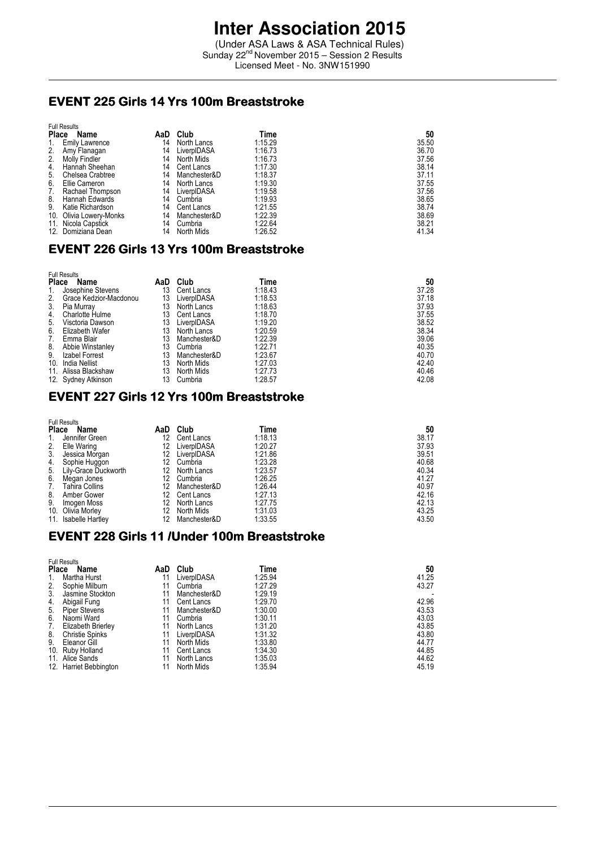(Under ASA Laws & ASA Technical Rules) Sunday 22<sup>nd</sup> November 2015 - Session 2 Results Licensed Meet - No. 3NW151990

### EVENT 225 Girls 14 Yrs 100m Breaststroke

| <b>Full Results</b> |                         |     |              |         |       |
|---------------------|-------------------------|-----|--------------|---------|-------|
| <b>Place</b>        | Name                    | AaD | Club         | Time    | 50    |
| 1.                  | <b>Emily Lawrence</b>   | 14  | North Lancs  | 1:15.29 | 35.50 |
| 2.                  | Amy Flanagan            | 14  | LiverpIDASA  | 1:16.73 | 36.70 |
| 2.                  | Molly Findler           | 14  | North Mids   | 1:16.73 | 37.56 |
| 4.                  | Hannah Sheehan          | 14  | Cent Lancs   | 1:17.30 | 38.14 |
| 5.                  | Chelsea Crabtree        | 14  | Manchester&D | 1:18.37 | 37.11 |
| 6.                  | Ellie Cameron           | 14  | North Lancs  | 1:19.30 | 37.55 |
| 7.                  | Rachael Thompson        | 14  | LiverpIDASA  | 1:19.58 | 37.56 |
| 8.                  | Hannah Edwards          | 14  | Cumbria      | 1:19.93 | 38.65 |
| 9.                  | Katie Richardson        | 14  | Cent Lancs   | 1:21.55 | 38.74 |
|                     | 10. Olivia Lowery-Monks | 14  | Manchester&D | 1:22.39 | 38.69 |
|                     | 11. Nicola Capstick     | 14  | Cumbria      | 1:22.64 | 38.21 |
|                     | 12. Domiziana Dean      | 14  | North Mids   | 1:26.52 | 41.34 |

## EVENT226 Girls 13 Yrs 100m Breaststroke 226 Girls 13 Yrs 100m Breaststroke 226 Yrs 100m

| <b>Full Results</b> |                        |     |              |         |       |
|---------------------|------------------------|-----|--------------|---------|-------|
| <b>Place</b>        | Name                   | AaD | Club         | Time    | 50    |
| 1.                  | Josephine Stevens      | 13  | Cent Lancs   | 1:18.43 | 37.28 |
| 2.                  | Grace Kedzior-Macdonou | 13  | LiverpIDASA  | 1:18.53 | 37.18 |
| 3.                  | Pia Murray             | 13  | North Lancs  | 1:18.63 | 37.93 |
| 4.                  | <b>Charlotte Hulme</b> | 13  | Cent Lancs   | 1:18.70 | 37.55 |
| 5.                  | Visctoria Dawson       | 13  | LiverpIDASA  | 1:19.20 | 38.52 |
| 6.                  | Elizabeth Wafer        | 13  | North Lancs  | 1:20.59 | 38.34 |
| 7.                  | Emma Blair             | 13  | Manchester&D | 1:22.39 | 39.06 |
| 8.                  | Abbie Winstanley       | 13  | Cumbria      | 1:22.71 | 40.35 |
| 9.                  | Izabel Forrest         | 13  | Manchester&D | 1:23.67 | 40.70 |
| 10.                 | India Nellist          | 13  | North Mids   | 1:27.03 | 42.40 |
|                     | 11. Alissa Blackshaw   | 13  | North Mids   | 1:27.73 | 40.46 |
|                     | 12. Sydney Atkinson    | 13  | Cumbria      | 1:28.57 | 42.08 |

## EVENT 227 Girls 12 Yrs 100m Breaststroke

| <b>Place</b> | <b>Full Results</b><br>Name | AaD | Club         | Time    | 50    |
|--------------|-----------------------------|-----|--------------|---------|-------|
| 1.           | Jennifer Green              | 12  | Cent Lancs   | 1:18.13 | 38.17 |
| 2.           | Elle Waring                 | 12  | LiverpIDASA  | 1:20.27 | 37.93 |
| 3.           | Jessica Morgan              | 12  | LiverpIDASA  | 1:21.86 | 39.51 |
| 4.           | Sophie Huggon               | 12  | Cumbria      | 1:23.28 | 40.68 |
| 5.           | Lily-Grace Duckworth        | 12  | North Lancs  | 1:23.57 | 40.34 |
| 6.           | Megan Jones                 | 12  | Cumbria      | 1:26.25 | 41.27 |
| 7.           | Tahira Collins              | 12  | Manchester&D | 1:26.44 | 40.97 |
| 8.           | Amber Gower                 | 12  | Cent Lancs   | 1:27.13 | 42.16 |
| 9.           | Imogen Moss                 | 12  | North Lancs  | 1:27.75 | 42.13 |
|              | 10. Olivia Morley           | 12  | North Mids   | 1:31.03 | 43.25 |
|              | 11. Isabelle Hartley        | 12  | Manchester&D | 1:33.55 | 43.50 |

## EVENT 228 Girls 11 /Under 100m Breaststroke

| <b>Full Results</b> |                        |     |              |         |       |
|---------------------|------------------------|-----|--------------|---------|-------|
| <b>Place</b>        | Name                   | AaD | Club         | Time    | 50    |
| 1.                  | Martha Hurst           | 11  | LiverpIDASA  | 1:25.94 | 41.25 |
| 2.                  | Sophie Milburn         | 11  | Cumbria      | 1:27.29 | 43.27 |
| 3.                  | Jasmine Stockton       | 11  | Manchester&D | 1:29.19 |       |
| 4.                  | Abigail Fung           | 11  | Cent Lancs   | 1:29.70 | 42.96 |
| 5.                  | <b>Piper Stevens</b>   | 11  | Manchester&D | 1:30.00 | 43.53 |
| 6.                  | Naomi Ward             | 11  | Cumbria      | 1:30.11 | 43.03 |
| 7.                  | Elizabeth Brierley     | 11  | North Lancs  | 1:31.20 | 43.85 |
| 8.                  | <b>Christie Spinks</b> | 11  | LiverpIDASA  | 1:31.32 | 43.80 |
| 9.                  | Eleanor Gill           | 11  | North Mids   | 1:33.80 | 44.77 |
| 10.                 | Ruby Holland           | 11  | Cent Lancs   | 1:34.30 | 44.85 |
|                     | 11. Alice Sands        | 11  | North Lancs  | 1:35.03 | 44.62 |
|                     | 12. Harriet Bebbington | 11  | North Mids   | 1:35.94 | 45.19 |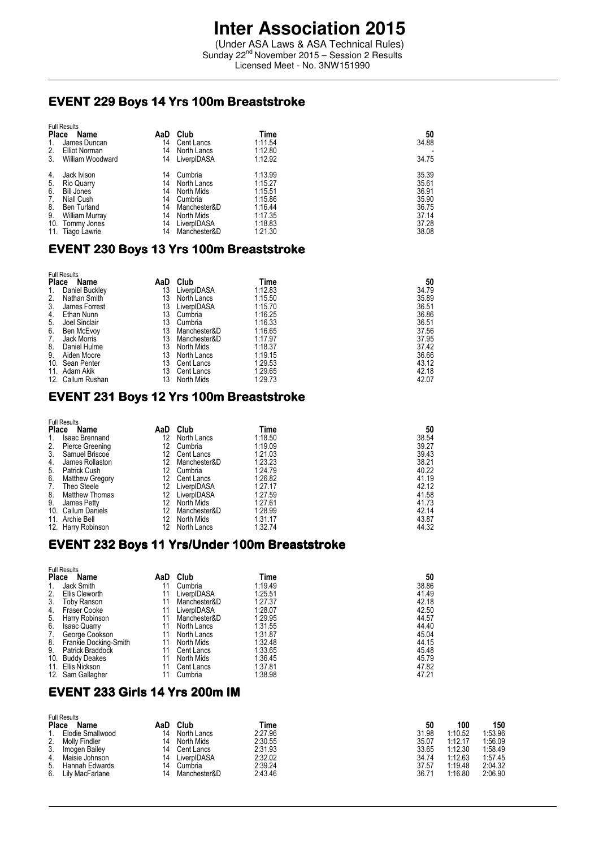(Under ASA Laws & ASA Technical Rules) Sunday 22<sup>nd</sup> November 2015 - Session 2 Results Licensed Meet - No. 3NW151990

## EVENT 229 Boys 14 Yrs 100m Breaststroke

| <b>Full Results</b> |                    |     |              |         |       |
|---------------------|--------------------|-----|--------------|---------|-------|
| <b>Place</b>        | Name               | AaD | Club         | Time    | 50    |
| 1.                  | James Duncan       | 14  | Cent Lancs   | 1:11.54 | 34.88 |
| 2.                  | Elliot Norman      | 14  | North Lancs  | 1:12.80 |       |
| 3.                  | William Woodward   | 14  | LiverpIDASA  | 1:12.92 | 34.75 |
| 4.                  | Jack Ivison        | 14  | Cumbria      | 1:13.99 | 35.39 |
| 5.                  | Rio Quarry         | 14  | North Lancs  | 1:15.27 | 35.61 |
| 6.                  | Bill Jones         | 14  | North Mids   | 1:15.51 | 36.91 |
| 7.                  | Niall Cush         | 14  | Cumbria      | 1:15.86 | 35.90 |
| 8.                  | <b>Ben Turland</b> | 14  | Manchester&D | 1:16.44 | 36.75 |
| 9.                  | William Murray     | 14  | North Mids   | 1:17.35 | 37.14 |
| 10.                 | Tommy Jones        | 14  | LiverpIDASA  | 1:18.83 | 37.28 |
| 11.                 | Tiago Lawrie       | 14  | Manchester&D | 1:21.30 | 38.08 |

#### EVENT 230 Boys 13 Yrs 100m Breaststroke

| Name          | AaD                                                                                                            | Club         | Time    | 50    |
|---------------|----------------------------------------------------------------------------------------------------------------|--------------|---------|-------|
|               | 13                                                                                                             | LiverpIDASA  | 1:12.83 | 34.79 |
| Nathan Smith  | 13                                                                                                             | North Lancs  | 1:15.50 | 35.89 |
| James Forrest | 13                                                                                                             | LiverpIDASA  | 1:15.70 | 36.51 |
| Ethan Nunn    | 13                                                                                                             | Cumbria      | 1:16.25 | 36.86 |
| Joel Sinclair | 13                                                                                                             | Cumbria      | 1:16.33 | 36.51 |
| Ben McEvoy    | 13                                                                                                             | Manchester&D | 1:16.65 | 37.56 |
| Jack Morris   | 13                                                                                                             | Manchester&D | 1:17.97 | 37.95 |
| Daniel Hulme  | 13                                                                                                             | North Mids   | 1:18.37 | 37.42 |
| Aiden Moore   | 13                                                                                                             | North Lancs  | 1:19.15 | 36.66 |
|               | 13                                                                                                             | Cent Lancs   | 1:29.53 | 43.12 |
|               | 13                                                                                                             | Cent Lancs   | 1:29.65 | 42.18 |
|               | 13                                                                                                             | North Mids   | 1:29.73 | 42.07 |
|               | <b>Full Results</b><br><b>Place</b><br>Daniel Buckley<br>10. Sean Penter<br>11. Adam Akik<br>12. Callum Rushan |              |         |       |

#### EVENT 231 Boys 12 Yrs 100m Breaststroke

| <b>Place</b> | <b>Full Results</b><br>Name | AaD | Club         | Time    | 50    |
|--------------|-----------------------------|-----|--------------|---------|-------|
| 1.           | <b>Isaac Brennand</b>       | 12  | North Lancs  | 1:18.50 | 38.54 |
| 2.           | Pierce Greening             | 12  | Cumbria      | 1:19.09 | 39.27 |
| 3.           | Samuel Briscoe              | 12  | Cent Lancs   | 1:21.03 | 39.43 |
| 4.           | James Rollaston             | 12  | Manchester&D | 1:23.23 | 38.21 |
| 5.           | <b>Patrick Cush</b>         | 12  | Cumbria      | 1:24.79 | 40.22 |
| 6.           | <b>Matthew Gregory</b>      | 12  | Cent Lancs   | 1:26.82 | 41.19 |
| 7.           | Theo Steele                 | 12  | LiverpIDASA  | 1:27.17 | 42.12 |
| 8.           | <b>Matthew Thomas</b>       | 12  | LiverpIDASA  | 1:27.59 | 41.58 |
| 9.           | James Petty                 | 12  | North Mids   | 1:27.61 | 41.73 |
|              | 10. Callum Daniels          | 12  | Manchester&D | 1:28.99 | 42.14 |
|              | 11. Archie Bell             | 12  | North Mids   | 1:31.17 | 43.87 |
|              | 12. Harry Robinson          | 12  | North Lancs  | 1:32.74 | 44.32 |

#### EVENT 232 Boys 11 Yrs/Under 100m Breaststroke

|              | <b>Full Results</b>   |     |              |         |       |
|--------------|-----------------------|-----|--------------|---------|-------|
| <b>Place</b> | Name                  | AaD | Club         | Time    | 50    |
| 1.           | Jack Smith            | 11  | Cumbria      | 1:19.49 | 38.86 |
| 2.           | Ellis Cleworth        | 11  | LiverpIDASA  | 1:25.51 | 41.49 |
| 3.           | <b>Toby Ranson</b>    | 11  | Manchester&D | 1:27.37 | 42.18 |
| 4.           | <b>Fraser Cooke</b>   | 11  | LiverpIDASA  | 1:28.07 | 42.50 |
| 5.           | Harry Robinson        | 11  | Manchester&D | 1:29.95 | 44.57 |
| 6.           | <b>Isaac Quarry</b>   | 11  | North Lancs  | 1:31.55 | 44.40 |
| 7.           | George Cookson        | 11  | North Lancs  | 1:31.87 | 45.04 |
| 8.           | Frankie Docking-Smith | 11  | North Mids   | 1:32.48 | 44.15 |
| 9.           | Patrick Braddock      | 11  | Cent Lancs   | 1:33.65 | 45.48 |
| 10.          | <b>Buddy Deakes</b>   | 11  | North Mids   | 1:36.45 | 45.79 |
|              | 11. Ellis Nickson     | 11  | Cent Lancs   | 1:37.81 | 47.82 |
|              | 12. Sam Gallagher     | 11  | Cumbria      | 1:38.98 | 47.21 |

### EVENT 233 Girls 14 Yrs 200m IM

| Name             | AaD                                                         | Club         | Time    | 50    | 100     | 150     |
|------------------|-------------------------------------------------------------|--------------|---------|-------|---------|---------|
| Elodie Smallwood | 14                                                          | North Lancs  | 2:27.96 | 31.98 | 1:10.52 | 1:53.96 |
| Molly Findler    | 14                                                          | North Mids   | 2:30.55 | 35.07 | 1:12.17 | 1:56.09 |
| Imogen Bailey    | 14                                                          | Cent Lancs   | 2:31.93 | 33.65 | 1:12.30 | 1:58.49 |
| Maisie Johnson   | 14                                                          | LiverpIDASA  | 2:32.02 | 34.74 | 1:12.63 | 1:57.45 |
| Hannah Edwards   | 14                                                          | Cumbria      | 2:39.24 | 37.57 | 1:19.48 | 2:04.32 |
| Lily MacFarlane  | 14                                                          | Manchester&D | 2:43.46 | 36.71 | 1:16.80 | 2:06.90 |
|                  | <b>Full Results</b><br><b>Place</b><br>2.<br>3.<br>4.<br>6. |              |         |       |         |         |